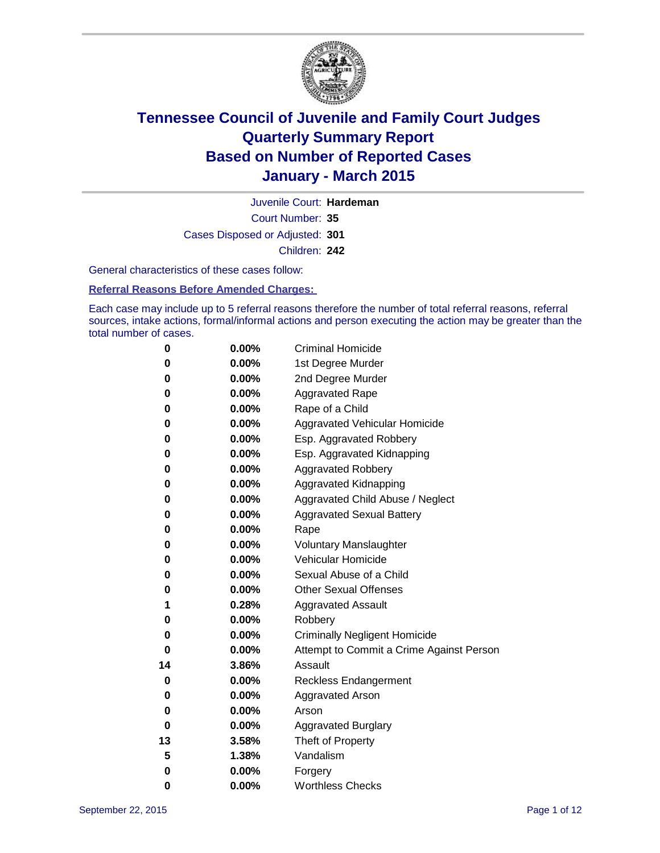

Court Number: **35** Juvenile Court: **Hardeman** Cases Disposed or Adjusted: **301** Children: **242**

General characteristics of these cases follow:

#### **Referral Reasons Before Amended Charges:**

Each case may include up to 5 referral reasons therefore the number of total referral reasons, referral sources, intake actions, formal/informal actions and person executing the action may be greater than the total number of cases.

| 0  | 0.00%    | <b>Criminal Homicide</b>                 |
|----|----------|------------------------------------------|
| 0  | 0.00%    | 1st Degree Murder                        |
| 0  | 0.00%    | 2nd Degree Murder                        |
| 0  | $0.00\%$ | <b>Aggravated Rape</b>                   |
| 0  | 0.00%    | Rape of a Child                          |
| 0  | 0.00%    | Aggravated Vehicular Homicide            |
| 0  | 0.00%    | Esp. Aggravated Robbery                  |
| 0  | 0.00%    | Esp. Aggravated Kidnapping               |
| 0  | $0.00\%$ | <b>Aggravated Robbery</b>                |
| 0  | 0.00%    | Aggravated Kidnapping                    |
| 0  | 0.00%    | Aggravated Child Abuse / Neglect         |
| 0  | 0.00%    | <b>Aggravated Sexual Battery</b>         |
| 0  | 0.00%    | Rape                                     |
| 0  | $0.00\%$ | <b>Voluntary Manslaughter</b>            |
| 0  | 0.00%    | <b>Vehicular Homicide</b>                |
| 0  | 0.00%    | Sexual Abuse of a Child                  |
| 0  | 0.00%    | <b>Other Sexual Offenses</b>             |
| 1  | 0.28%    | <b>Aggravated Assault</b>                |
| 0  | 0.00%    | Robbery                                  |
| 0  | 0.00%    | <b>Criminally Negligent Homicide</b>     |
| 0  | 0.00%    | Attempt to Commit a Crime Against Person |
| 14 | 3.86%    | Assault                                  |
| 0  | 0.00%    | <b>Reckless Endangerment</b>             |
| 0  | 0.00%    | <b>Aggravated Arson</b>                  |
| 0  | 0.00%    | Arson                                    |
| 0  | 0.00%    | <b>Aggravated Burglary</b>               |
| 13 | 3.58%    | Theft of Property                        |
| 5  | 1.38%    | Vandalism                                |
| 0  | 0.00%    | Forgery                                  |
| 0  | 0.00%    | <b>Worthless Checks</b>                  |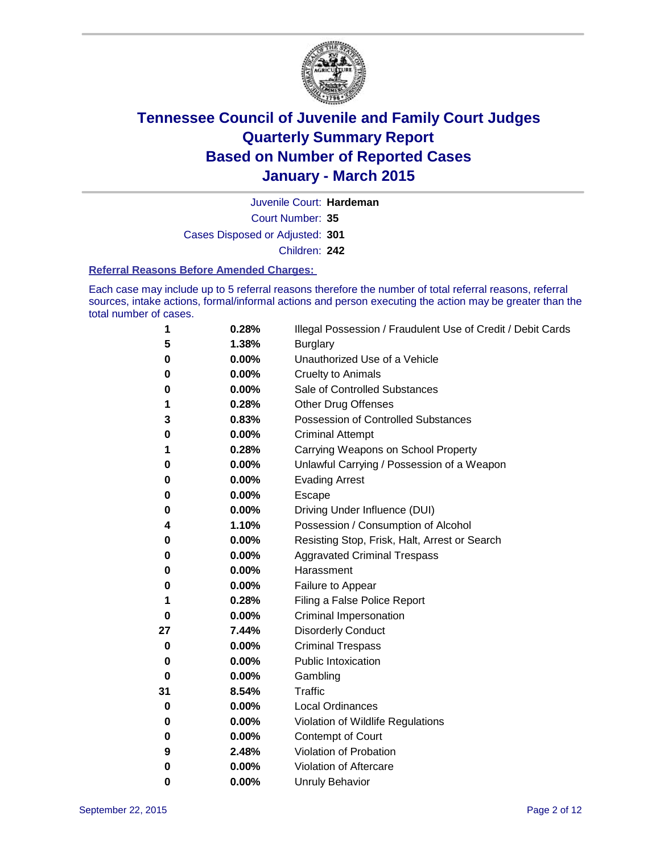

Court Number: **35** Juvenile Court: **Hardeman** Cases Disposed or Adjusted: **301** Children: **242**

#### **Referral Reasons Before Amended Charges:**

Each case may include up to 5 referral reasons therefore the number of total referral reasons, referral sources, intake actions, formal/informal actions and person executing the action may be greater than the total number of cases.

| 1        | 0.28% | Illegal Possession / Fraudulent Use of Credit / Debit Cards |
|----------|-------|-------------------------------------------------------------|
| 5        | 1.38% | <b>Burglary</b>                                             |
| 0        | 0.00% | Unauthorized Use of a Vehicle                               |
| 0        | 0.00% | <b>Cruelty to Animals</b>                                   |
| 0        | 0.00% | Sale of Controlled Substances                               |
| 1        | 0.28% | <b>Other Drug Offenses</b>                                  |
| 3        | 0.83% | Possession of Controlled Substances                         |
| 0        | 0.00% | <b>Criminal Attempt</b>                                     |
| 1        | 0.28% | Carrying Weapons on School Property                         |
| 0        | 0.00% | Unlawful Carrying / Possession of a Weapon                  |
| 0        | 0.00% | <b>Evading Arrest</b>                                       |
| 0        | 0.00% | Escape                                                      |
| 0        | 0.00% | Driving Under Influence (DUI)                               |
| 4        | 1.10% | Possession / Consumption of Alcohol                         |
| 0        | 0.00% | Resisting Stop, Frisk, Halt, Arrest or Search               |
| 0        | 0.00% | <b>Aggravated Criminal Trespass</b>                         |
| 0        | 0.00% | Harassment                                                  |
| 0        | 0.00% | Failure to Appear                                           |
| 1        | 0.28% | Filing a False Police Report                                |
| 0        | 0.00% | Criminal Impersonation                                      |
| 27       | 7.44% | <b>Disorderly Conduct</b>                                   |
| 0        | 0.00% | <b>Criminal Trespass</b>                                    |
| 0        | 0.00% | <b>Public Intoxication</b>                                  |
| $\bf{0}$ | 0.00% | Gambling                                                    |
| 31       | 8.54% | <b>Traffic</b>                                              |
| 0        | 0.00% | <b>Local Ordinances</b>                                     |
| 0        | 0.00% | Violation of Wildlife Regulations                           |
| 0        | 0.00% | Contempt of Court                                           |
| 9        | 2.48% | Violation of Probation                                      |
| 0        | 0.00% | Violation of Aftercare                                      |
| 0        | 0.00% | <b>Unruly Behavior</b>                                      |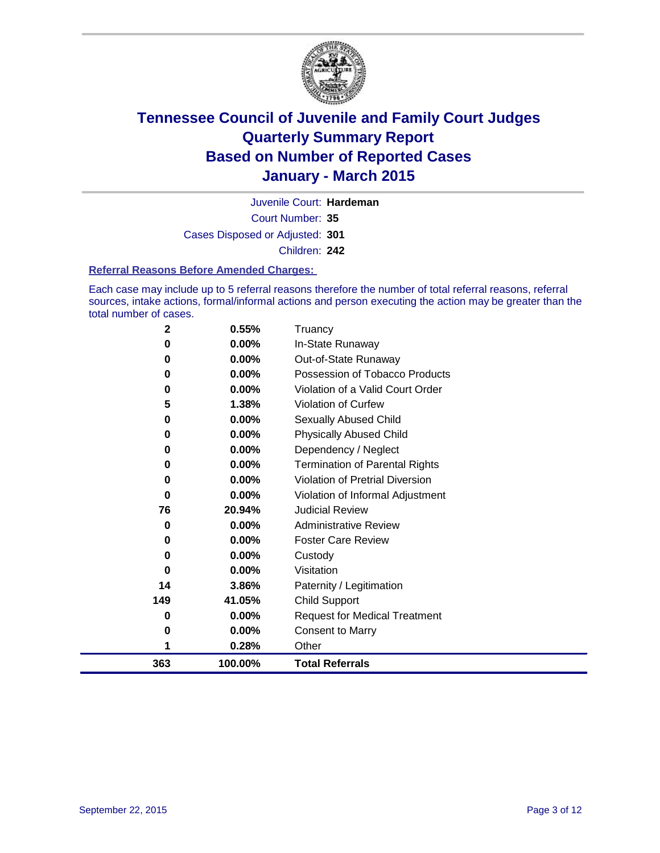

Court Number: **35** Juvenile Court: **Hardeman** Cases Disposed or Adjusted: **301** Children: **242**

#### **Referral Reasons Before Amended Charges:**

Each case may include up to 5 referral reasons therefore the number of total referral reasons, referral sources, intake actions, formal/informal actions and person executing the action may be greater than the total number of cases.

| $\mathbf{2}$ | 0.55%    | Truancy                               |
|--------------|----------|---------------------------------------|
| 0            | 0.00%    | In-State Runaway                      |
| 0            | $0.00\%$ | Out-of-State Runaway                  |
| 0            | 0.00%    | Possession of Tobacco Products        |
| 0            | 0.00%    | Violation of a Valid Court Order      |
| 5            | 1.38%    | Violation of Curfew                   |
| 0            | 0.00%    | <b>Sexually Abused Child</b>          |
| 0            | 0.00%    | <b>Physically Abused Child</b>        |
| 0            | 0.00%    | Dependency / Neglect                  |
| 0            | 0.00%    | <b>Termination of Parental Rights</b> |
| 0            | 0.00%    | Violation of Pretrial Diversion       |
| 0            | 0.00%    | Violation of Informal Adjustment      |
| 76           | 20.94%   | <b>Judicial Review</b>                |
| 0            | 0.00%    | <b>Administrative Review</b>          |
| 0            | 0.00%    | <b>Foster Care Review</b>             |
| 0            | 0.00%    | Custody                               |
| 0            | 0.00%    | Visitation                            |
| 14           | 3.86%    | Paternity / Legitimation              |
| 149          | 41.05%   | <b>Child Support</b>                  |
| 0            | 0.00%    | <b>Request for Medical Treatment</b>  |
| 0            | 0.00%    | <b>Consent to Marry</b>               |
| 1            | 0.28%    | Other                                 |
| 363          | 100.00%  | <b>Total Referrals</b>                |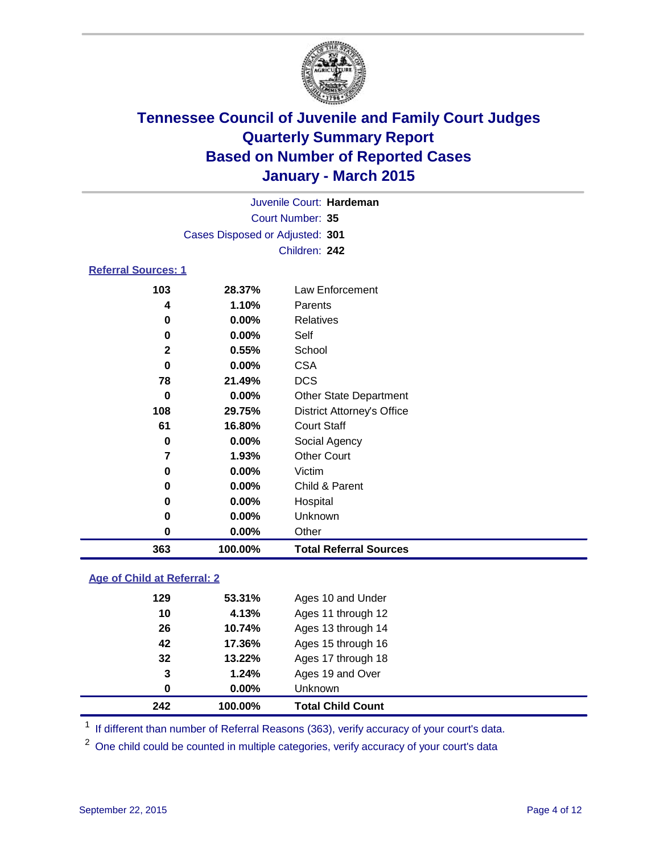

| Juvenile Court: Hardeman        |  |
|---------------------------------|--|
| Court Number: 35                |  |
| Cases Disposed or Adjusted: 301 |  |
| Children: 242                   |  |

### **Referral Sources: 1**

| 363          | 100.00%  | <b>Total Referral Sources</b>     |
|--------------|----------|-----------------------------------|
| 0            | $0.00\%$ | Other                             |
| 0            | $0.00\%$ | Unknown                           |
| 0            | $0.00\%$ | Hospital                          |
| 0            | $0.00\%$ | Child & Parent                    |
| 0            | $0.00\%$ | Victim                            |
| 7            | 1.93%    | <b>Other Court</b>                |
| 0            | $0.00\%$ | Social Agency                     |
| 61           | 16.80%   | <b>Court Staff</b>                |
| 108          | 29.75%   | <b>District Attorney's Office</b> |
| 0            | $0.00\%$ | <b>Other State Department</b>     |
| 78           | 21.49%   | <b>DCS</b>                        |
| 0            | $0.00\%$ | <b>CSA</b>                        |
| $\mathbf{2}$ | 0.55%    | School                            |
| 0            | $0.00\%$ | Self                              |
| 0            | $0.00\%$ | Relatives                         |
| 4            | 1.10%    | Parents                           |
| 103          | 28.37%   | Law Enforcement                   |

### **Age of Child at Referral: 2**

| 242 | 100.00%  | <b>Total Child Count</b> |  |
|-----|----------|--------------------------|--|
| 0   | $0.00\%$ | Unknown                  |  |
| 3   | 1.24%    | Ages 19 and Over         |  |
| 32  | 13.22%   | Ages 17 through 18       |  |
| 42  | 17.36%   | Ages 15 through 16       |  |
| 26  | 10.74%   | Ages 13 through 14       |  |
| 10  | 4.13%    | Ages 11 through 12       |  |
| 129 | 53.31%   | Ages 10 and Under        |  |

<sup>1</sup> If different than number of Referral Reasons (363), verify accuracy of your court's data.

One child could be counted in multiple categories, verify accuracy of your court's data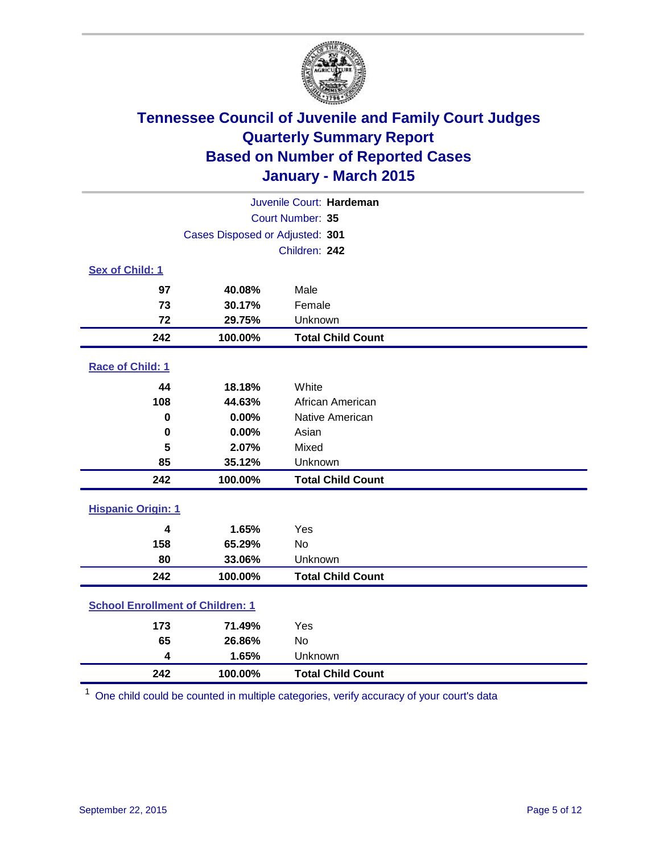

|                           |                                         | Juvenile Court: Hardeman |  |  |  |
|---------------------------|-----------------------------------------|--------------------------|--|--|--|
|                           |                                         | Court Number: 35         |  |  |  |
|                           | Cases Disposed or Adjusted: 301         |                          |  |  |  |
|                           |                                         | Children: 242            |  |  |  |
| <b>Sex of Child: 1</b>    |                                         |                          |  |  |  |
| 97                        | 40.08%                                  | Male                     |  |  |  |
| 73                        | 30.17%                                  | Female                   |  |  |  |
| 72                        | 29.75%                                  | Unknown                  |  |  |  |
| 242                       | 100.00%                                 | <b>Total Child Count</b> |  |  |  |
| Race of Child: 1          |                                         |                          |  |  |  |
| 44                        | 18.18%                                  | White                    |  |  |  |
| 108                       | 44.63%                                  | African American         |  |  |  |
| 0                         | 0.00%                                   | Native American          |  |  |  |
| 0                         | 0.00%                                   | Asian                    |  |  |  |
| 5                         | 2.07%                                   | Mixed                    |  |  |  |
| 85                        | 35.12%                                  | Unknown                  |  |  |  |
| 242                       | 100.00%                                 | <b>Total Child Count</b> |  |  |  |
| <b>Hispanic Origin: 1</b> |                                         |                          |  |  |  |
|                           |                                         |                          |  |  |  |
| $\overline{\mathbf{4}}$   | 1.65%                                   | Yes                      |  |  |  |
| 158                       | 65.29%                                  | <b>No</b>                |  |  |  |
| 80                        | 33.06%                                  | Unknown                  |  |  |  |
| 242                       | 100.00%                                 | <b>Total Child Count</b> |  |  |  |
|                           | <b>School Enrollment of Children: 1</b> |                          |  |  |  |
| 173                       | 71.49%                                  | Yes                      |  |  |  |
| 65                        | 26.86%                                  | No                       |  |  |  |
| 4                         | 1.65%                                   | Unknown                  |  |  |  |
| 242                       | 100.00%                                 | <b>Total Child Count</b> |  |  |  |

One child could be counted in multiple categories, verify accuracy of your court's data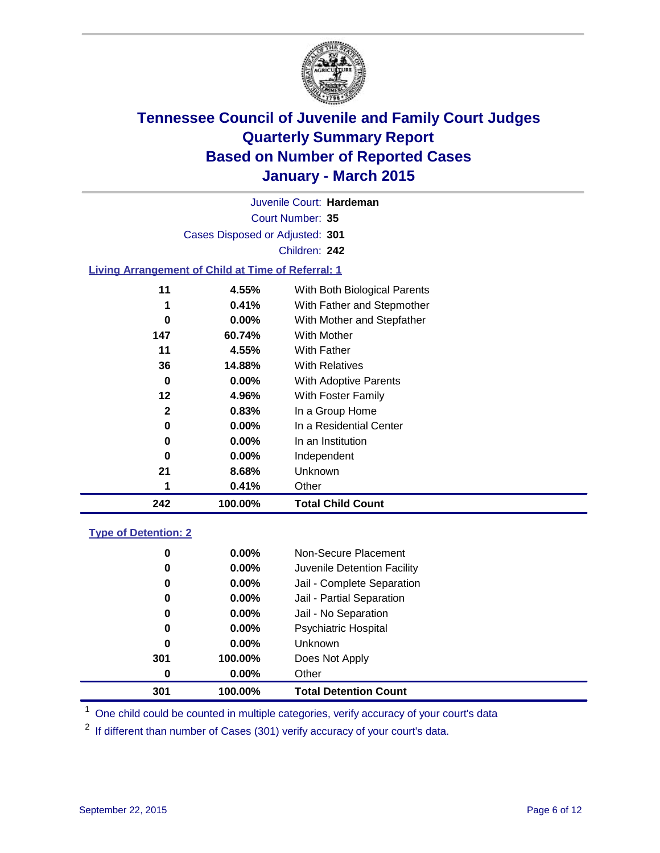

Court Number: **35** Juvenile Court: **Hardeman** Cases Disposed or Adjusted: **301** Children: **242**

### **Living Arrangement of Child at Time of Referral: 1**

| 11           | 4.55%    | With Both Biological Parents |
|--------------|----------|------------------------------|
| 1            | 0.41%    | With Father and Stepmother   |
| 0            | $0.00\%$ | With Mother and Stepfather   |
| 147          | 60.74%   | With Mother                  |
| 11           | 4.55%    | With Father                  |
| 36           | 14.88%   | <b>With Relatives</b>        |
| 0            | 0.00%    | With Adoptive Parents        |
| 12           | 4.96%    | With Foster Family           |
| $\mathbf{2}$ | 0.83%    | In a Group Home              |
| 0            | $0.00\%$ | In a Residential Center      |
| 0            | $0.00\%$ | In an Institution            |
| 0            | $0.00\%$ | Independent                  |
| 21           | 8.68%    | Unknown                      |
| 1            | 0.41%    | Other                        |
| 242          | 100.00%  | <b>Total Child Count</b>     |

### **Type of Detention: 2**

| 0<br>0<br>0<br>0<br>0<br>0<br>0<br>301<br>0 | $0.00\%$<br>$0.00\%$<br>$0.00\%$<br>0.00%<br>$0.00\%$<br>$0.00\%$<br>$0.00\%$<br>100.00%<br>$0.00\%$ | Non-Secure Placement<br>Juvenile Detention Facility<br>Jail - Complete Separation<br>Jail - Partial Separation<br>Jail - No Separation<br><b>Psychiatric Hospital</b><br><b>Unknown</b><br>Does Not Apply<br>Other |  |
|---------------------------------------------|------------------------------------------------------------------------------------------------------|--------------------------------------------------------------------------------------------------------------------------------------------------------------------------------------------------------------------|--|
| 301                                         | 100.00%                                                                                              | <b>Total Detention Count</b>                                                                                                                                                                                       |  |
|                                             |                                                                                                      |                                                                                                                                                                                                                    |  |

<sup>1</sup> One child could be counted in multiple categories, verify accuracy of your court's data

If different than number of Cases (301) verify accuracy of your court's data.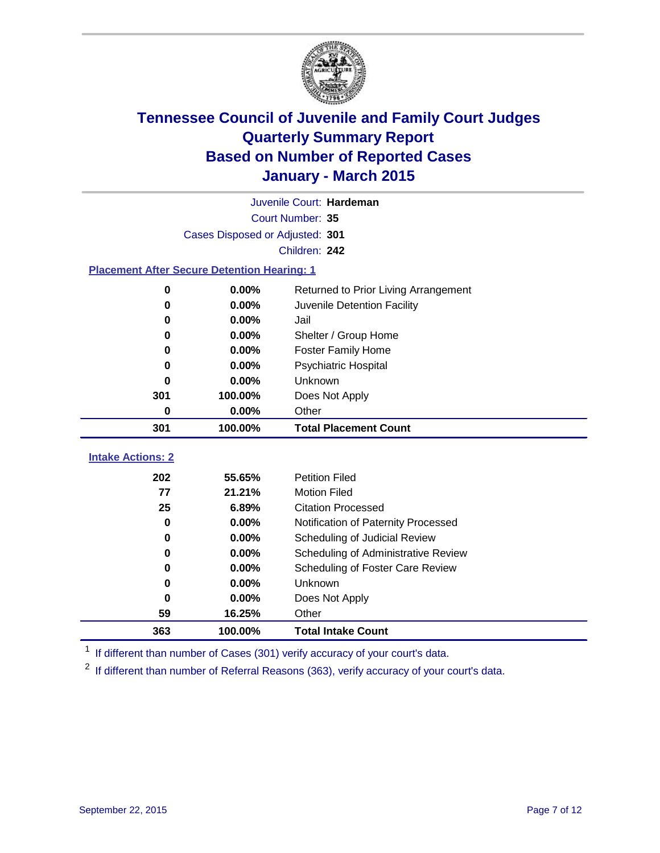

|                                                    | Juvenile Court: Hardeman        |                                      |  |  |  |  |  |  |
|----------------------------------------------------|---------------------------------|--------------------------------------|--|--|--|--|--|--|
|                                                    | Court Number: 35                |                                      |  |  |  |  |  |  |
|                                                    | Cases Disposed or Adjusted: 301 |                                      |  |  |  |  |  |  |
|                                                    |                                 | Children: 242                        |  |  |  |  |  |  |
| <b>Placement After Secure Detention Hearing: 1</b> |                                 |                                      |  |  |  |  |  |  |
| $\bf{0}$                                           | $0.00\%$                        | Returned to Prior Living Arrangement |  |  |  |  |  |  |
| 0                                                  | $0.00\%$                        | Juvenile Detention Facility          |  |  |  |  |  |  |
| 0                                                  | 0.00%                           | Jail                                 |  |  |  |  |  |  |
| $\bf{0}$                                           | $0.00\%$                        | Shelter / Group Home                 |  |  |  |  |  |  |
| 0                                                  | $0.00\%$                        | Foster Family Home                   |  |  |  |  |  |  |
| 0                                                  | 0.00%                           | Psychiatric Hospital                 |  |  |  |  |  |  |
| 0                                                  | 0.00%                           | Unknown                              |  |  |  |  |  |  |
| 301                                                | 100.00%                         | Does Not Apply                       |  |  |  |  |  |  |
| 0                                                  | $0.00\%$<br>Other               |                                      |  |  |  |  |  |  |
| 301                                                | 100.00%                         | <b>Total Placement Count</b>         |  |  |  |  |  |  |
| <b>Intake Actions: 2</b>                           |                                 |                                      |  |  |  |  |  |  |
| 202                                                | 55.65%                          | <b>Petition Filed</b>                |  |  |  |  |  |  |
| 77                                                 | 21.21%                          | <b>Motion Filed</b>                  |  |  |  |  |  |  |
| 25                                                 | 6.89%                           | <b>Citation Processed</b>            |  |  |  |  |  |  |
| $\bf{0}$                                           | 0.00%                           | Notification of Paternity Processed  |  |  |  |  |  |  |
| $\bf{0}$                                           | 0.00%                           | Scheduling of Judicial Review        |  |  |  |  |  |  |
| 0                                                  | $0.00\%$                        | Scheduling of Administrative Review  |  |  |  |  |  |  |
| 0                                                  | 0.00%                           | Scheduling of Foster Care Review     |  |  |  |  |  |  |
| 0                                                  | 0.00%                           | Unknown                              |  |  |  |  |  |  |
| 0                                                  | 0.00%                           | Does Not Apply                       |  |  |  |  |  |  |
| 59                                                 | 16.25%                          | Other                                |  |  |  |  |  |  |

<sup>1</sup> If different than number of Cases (301) verify accuracy of your court's data.

**100.00% Total Intake Count**

<sup>2</sup> If different than number of Referral Reasons (363), verify accuracy of your court's data.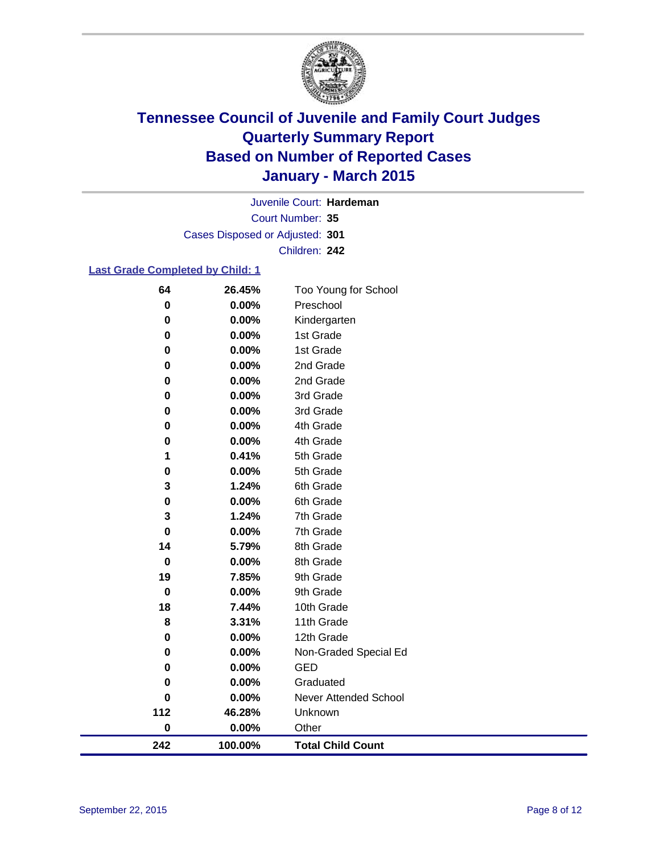

Court Number: **35** Juvenile Court: **Hardeman** Cases Disposed or Adjusted: **301** Children: **242**

### **Last Grade Completed by Child: 1**

| 64          | 26.45%  | Too Young for School     |
|-------------|---------|--------------------------|
| 0           | 0.00%   | Preschool                |
| 0           | 0.00%   | Kindergarten             |
| 0           | 0.00%   | 1st Grade                |
| 0           | 0.00%   | 1st Grade                |
| 0           | 0.00%   | 2nd Grade                |
| $\mathbf 0$ | 0.00%   | 2nd Grade                |
| 0           | 0.00%   | 3rd Grade                |
| 0           | 0.00%   | 3rd Grade                |
| 0           | 0.00%   | 4th Grade                |
| 0           | 0.00%   | 4th Grade                |
| 1           | 0.41%   | 5th Grade                |
| 0           | 0.00%   | 5th Grade                |
| 3           | 1.24%   | 6th Grade                |
| 0           | 0.00%   | 6th Grade                |
| 3           | 1.24%   | 7th Grade                |
| 0           | 0.00%   | 7th Grade                |
| 14          | 5.79%   | 8th Grade                |
| $\bf{0}$    | 0.00%   | 8th Grade                |
| 19          | 7.85%   | 9th Grade                |
| $\mathbf 0$ | 0.00%   | 9th Grade                |
| 18          | 7.44%   | 10th Grade               |
| 8           | 3.31%   | 11th Grade               |
| 0           | 0.00%   | 12th Grade               |
| 0           | 0.00%   | Non-Graded Special Ed    |
| 0           | 0.00%   | <b>GED</b>               |
| 0           | 0.00%   | Graduated                |
| 0           | 0.00%   | Never Attended School    |
| 112         | 46.28%  | Unknown                  |
| 0           | 0.00%   | Other                    |
| 242         | 100.00% | <b>Total Child Count</b> |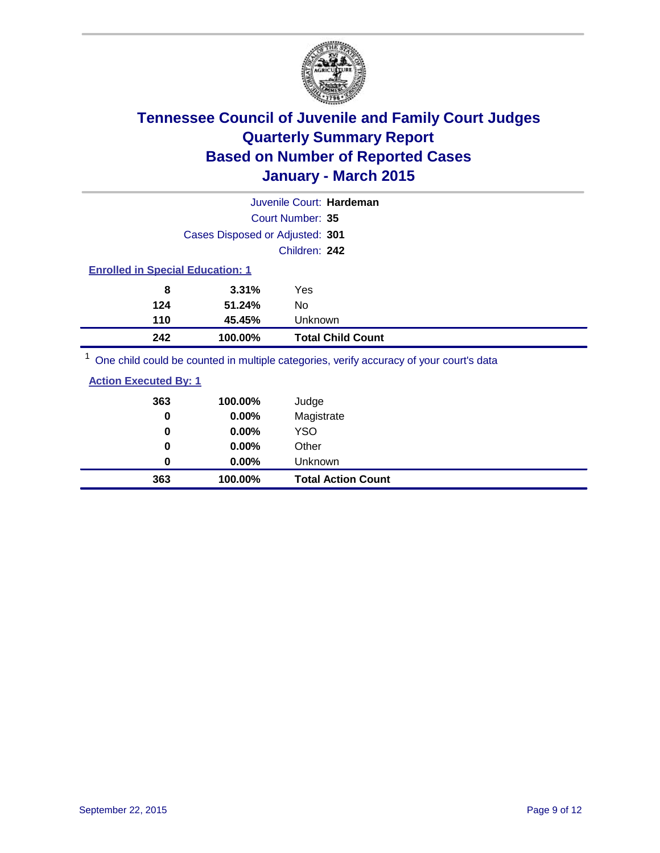

|                                         |                                 |                  | Juvenile Court: Hardeman |  |  |  |
|-----------------------------------------|---------------------------------|------------------|--------------------------|--|--|--|
|                                         |                                 | Court Number: 35 |                          |  |  |  |
|                                         | Cases Disposed or Adjusted: 301 |                  |                          |  |  |  |
|                                         |                                 | Children: 242    |                          |  |  |  |
| <b>Enrolled in Special Education: 1</b> |                                 |                  |                          |  |  |  |
| 8                                       | 3.31%                           | Yes              |                          |  |  |  |
| 124                                     | 51.24%                          | No               |                          |  |  |  |
| 110                                     | 45.45%                          | Unknown          |                          |  |  |  |
| 242                                     | 100.00%                         |                  | <b>Total Child Count</b> |  |  |  |
| $\overline{A}$                          |                                 |                  |                          |  |  |  |

<sup>1</sup> One child could be counted in multiple categories, verify accuracy of your court's data

| 363<br>0 | 100.00%<br>0.00% | Judge<br>Magistrate       |
|----------|------------------|---------------------------|
| 0        | $0.00\%$         | <b>YSO</b>                |
| 0        | $0.00\%$         | Other                     |
| 0        | $0.00\%$         | Unknown                   |
| 363      | 100.00%          | <b>Total Action Count</b> |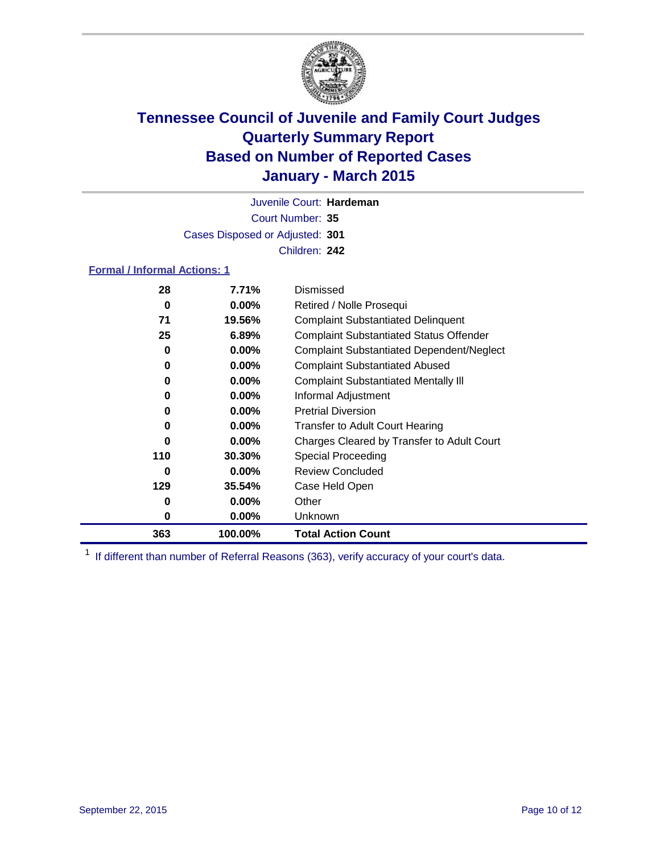

Court Number: **35** Juvenile Court: **Hardeman** Cases Disposed or Adjusted: **301** Children: **242**

### **Formal / Informal Actions: 1**

| 28  | 7.71%    | Dismissed                                        |
|-----|----------|--------------------------------------------------|
| 0   | $0.00\%$ | Retired / Nolle Prosequi                         |
| 71  | 19.56%   | <b>Complaint Substantiated Delinquent</b>        |
| 25  | 6.89%    | <b>Complaint Substantiated Status Offender</b>   |
| 0   | $0.00\%$ | <b>Complaint Substantiated Dependent/Neglect</b> |
| 0   | $0.00\%$ | <b>Complaint Substantiated Abused</b>            |
| 0   | $0.00\%$ | <b>Complaint Substantiated Mentally III</b>      |
| 0   | $0.00\%$ | Informal Adjustment                              |
| 0   | $0.00\%$ | <b>Pretrial Diversion</b>                        |
| 0   | $0.00\%$ | <b>Transfer to Adult Court Hearing</b>           |
| 0   | $0.00\%$ | Charges Cleared by Transfer to Adult Court       |
| 110 | 30.30%   | <b>Special Proceeding</b>                        |
| 0   | $0.00\%$ | <b>Review Concluded</b>                          |
| 129 | 35.54%   | Case Held Open                                   |
| 0   | $0.00\%$ | Other                                            |
| 0   | $0.00\%$ | Unknown                                          |
| 363 | 100.00%  | <b>Total Action Count</b>                        |

<sup>1</sup> If different than number of Referral Reasons (363), verify accuracy of your court's data.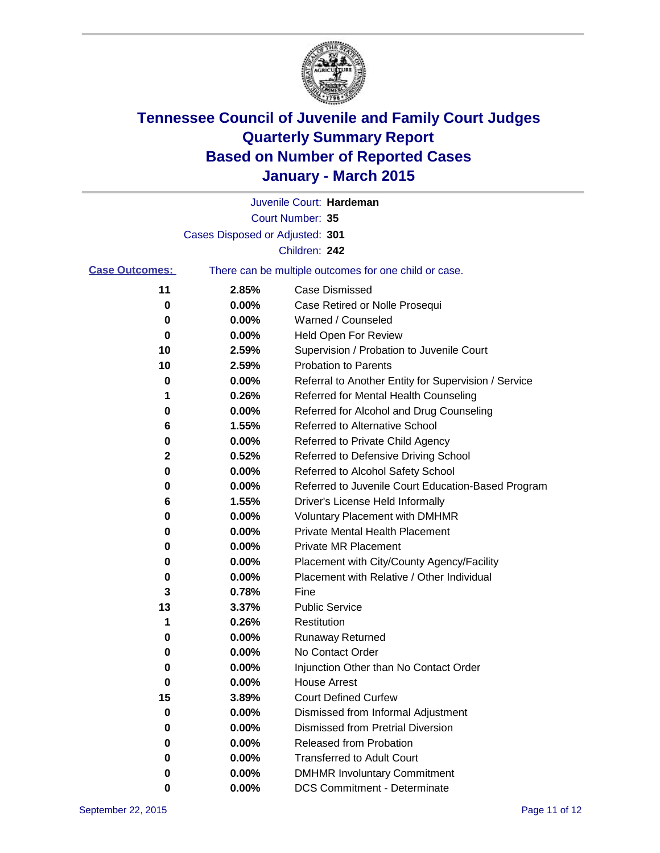

|                       |                                 | Juvenile Court: Hardeman                              |
|-----------------------|---------------------------------|-------------------------------------------------------|
|                       |                                 | Court Number: 35                                      |
|                       | Cases Disposed or Adjusted: 301 |                                                       |
|                       |                                 | Children: 242                                         |
| <b>Case Outcomes:</b> |                                 | There can be multiple outcomes for one child or case. |
| 11                    | 2.85%                           | <b>Case Dismissed</b>                                 |
| 0                     | 0.00%                           | Case Retired or Nolle Prosequi                        |
| 0                     | 0.00%                           | Warned / Counseled                                    |
| 0                     | 0.00%                           | Held Open For Review                                  |
| 10                    | 2.59%                           | Supervision / Probation to Juvenile Court             |
| 10                    | 2.59%                           | <b>Probation to Parents</b>                           |
| 0                     | 0.00%                           | Referral to Another Entity for Supervision / Service  |
| 1                     | 0.26%                           | Referred for Mental Health Counseling                 |
| 0                     | 0.00%                           | Referred for Alcohol and Drug Counseling              |
| 6                     | 1.55%                           | Referred to Alternative School                        |
| 0                     | 0.00%                           | Referred to Private Child Agency                      |
| 2                     | 0.52%                           | Referred to Defensive Driving School                  |
| 0                     | 0.00%                           | Referred to Alcohol Safety School                     |
| 0                     | 0.00%                           | Referred to Juvenile Court Education-Based Program    |
| 6                     | 1.55%                           | Driver's License Held Informally                      |
| 0                     | 0.00%                           | <b>Voluntary Placement with DMHMR</b>                 |
| 0                     | 0.00%                           | <b>Private Mental Health Placement</b>                |
| 0                     | 0.00%                           | Private MR Placement                                  |
| 0                     | 0.00%                           | Placement with City/County Agency/Facility            |
| 0                     | 0.00%                           | Placement with Relative / Other Individual            |
| 3                     | 0.78%                           | Fine                                                  |
| 13                    | 3.37%                           | <b>Public Service</b>                                 |
| 1                     | 0.26%                           | Restitution                                           |
| 0                     | 0.00%                           | <b>Runaway Returned</b>                               |
| 0                     | 0.00%                           | No Contact Order                                      |
| 0                     | 0.00%                           | Injunction Other than No Contact Order                |
| o                     | 0.00%                           | <b>House Arrest</b>                                   |
| 15                    | 3.89%                           | <b>Court Defined Curfew</b>                           |
| 0                     | 0.00%                           | Dismissed from Informal Adjustment                    |
| 0                     | 0.00%                           | <b>Dismissed from Pretrial Diversion</b>              |
| 0                     | 0.00%                           | Released from Probation                               |
| 0                     | 0.00%                           | <b>Transferred to Adult Court</b>                     |
| 0                     | 0.00%                           | <b>DMHMR Involuntary Commitment</b>                   |
| 0                     | 0.00%                           | <b>DCS Commitment - Determinate</b>                   |